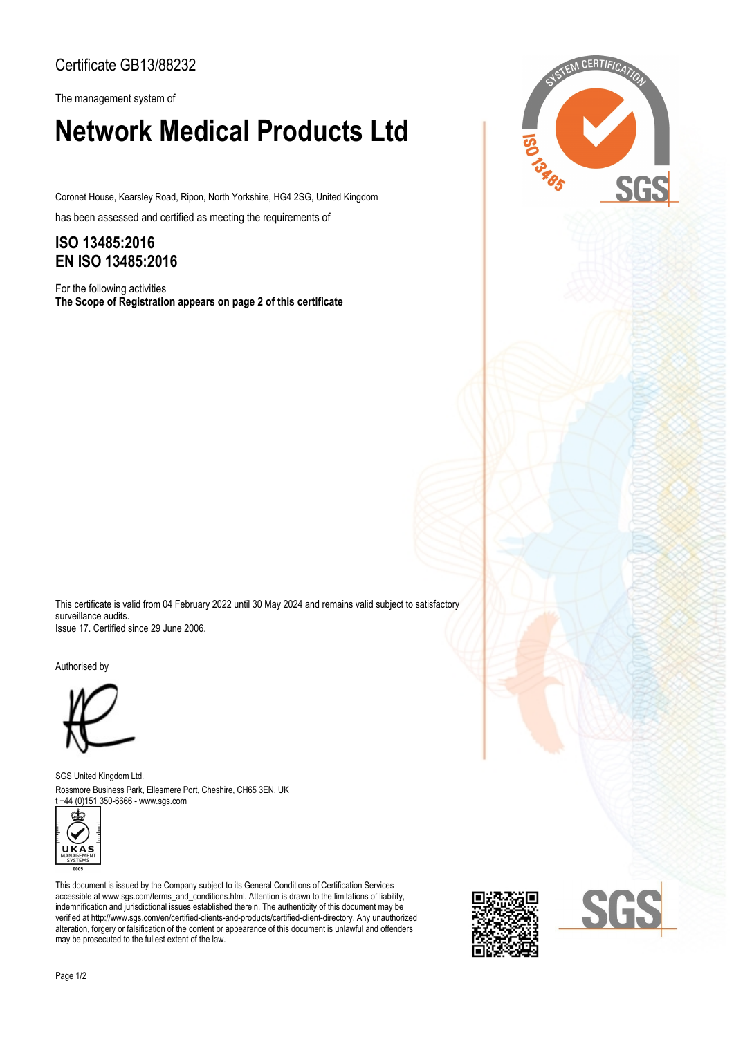# Certificate GB13/88232

The management system of

# **Network Medical Products Ltd**

Coronet House, Kearsley Road, Ripon, North Yorkshire, HG4 2SG, United Kingdom

has been assessed and certified as meeting the requirements of

# **ISO 13485:2016 EN ISO 13485:2016**

For the following activities **The Scope of Registration appears on page 2 of this certificate**



This certificate is valid from 04 February 2022 until 30 May 2024 and remains valid subject to satisfactory surveillance audits. Issue 17. Certified since 29 June 2006.

Authorised by



Rossmore Business Park, Ellesmere Port, Cheshire, CH65 3EN, UK SGS United Kingdom Ltd. t +44 (0)151 350-6666 - www.sgs.com



This document is issued by the Company subject to its General Conditions of Certification Services accessible at www.sgs.com/terms\_and\_conditions.html. Attention is drawn to the limitations of liability, indemnification and jurisdictional issues established therein. The authenticity of this document may be verified at http://www.sgs.com/en/certified-clients-and-products/certified-client-directory. Any unauthorized alteration, forgery or falsification of the content or appearance of this document is unlawful and offenders may be prosecuted to the fullest extent of the law.